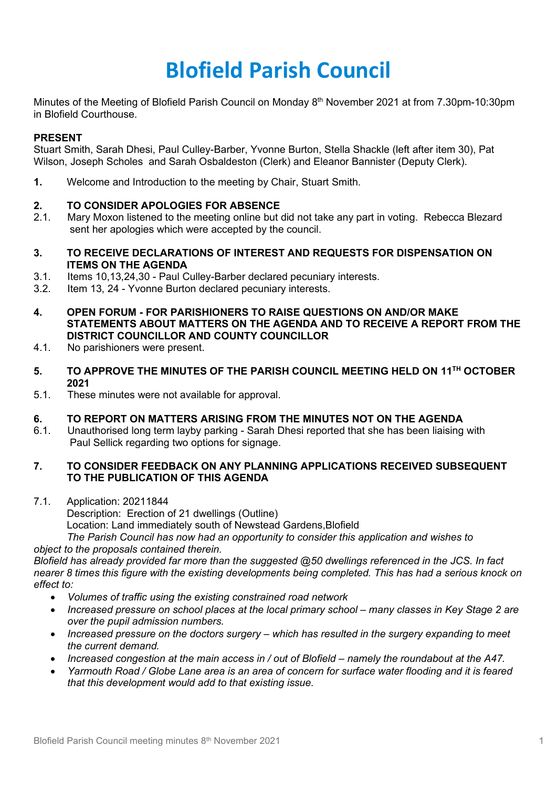# **Blofield Parish Council**

Minutes of the Meeting of Blofield Parish Council on Monday 8<sup>th</sup> November 2021 at from 7.30pm-10:30pm in Blofield Courthouse.

## **PRESENT**

Stuart Smith, Sarah Dhesi, Paul Culley-Barber, Yvonne Burton, Stella Shackle (left after item 30), Pat Wilson, Joseph Scholes and Sarah Osbaldeston (Clerk) and Eleanor Bannister (Deputy Clerk).

**1.** Welcome and Introduction to the meeting by Chair, Stuart Smith.

## **2. TO CONSIDER APOLOGIES FOR ABSENCE**

- 2.1. Mary Moxon listened to the meeting online but did not take any part in voting. Rebecca Blezard sent her apologies which were accepted by the council.
- **3. TO RECEIVE DECLARATIONS OF INTEREST AND REQUESTS FOR DISPENSATION ON ITEMS ON THE AGENDA**
- 3.1. Items 10,13,24,30 Paul Culley-Barber declared pecuniary interests.
- 3.2. Item 13, 24 Yvonne Burton declared pecuniary interests.
- **4. OPEN FORUM - FOR PARISHIONERS TO RAISE QUESTIONS ON AND/OR MAKE STATEMENTS ABOUT MATTERS ON THE AGENDA AND TO RECEIVE A REPORT FROM THE DISTRICT COUNCILLOR AND COUNTY COUNCILLOR**
- 4.1. No parishioners were present.
- **5. TO APPROVE THE MINUTES OF THE PARISH COUNCIL MEETING HELD ON 11TH OCTOBER 2021**
- 5.1. These minutes were not available for approval.

#### **6. TO REPORT ON MATTERS ARISING FROM THE MINUTES NOT ON THE AGENDA**

6.1. Unauthorised long term layby parking - Sarah Dhesi reported that she has been liaising with Paul Sellick regarding two options for signage.

## **7. TO CONSIDER FEEDBACK ON ANY PLANNING APPLICATIONS RECEIVED SUBSEQUENT TO THE PUBLICATION OF THIS AGENDA**

7.1. Application: 20211844 Description: Erection of 21 dwellings (Outline) Location: Land immediately south of Newstead Gardens,Blofield *The Parish Council has now had an opportunity to consider this application and wishes to* 

*object to the proposals contained therein.* 

*Blofield has already provided far more than the suggested @50 dwellings referenced in the JCS. In fact nearer 8 times this figure with the existing developments being completed. This has had a serious knock on effect to:*

- *Volumes of traffic using the existing constrained road network*
- *Increased pressure on school places at the local primary school many classes in Key Stage 2 are over the pupil admission numbers.*
- *Increased pressure on the doctors surgery – which has resulted in the surgery expanding to meet the current demand.*
- *Increased congestion at the main access in / out of Blofield – namely the roundabout at the A47.*
- *Yarmouth Road / Globe Lane area is an area of concern for surface water flooding and it is feared that this development would add to that existing issue.*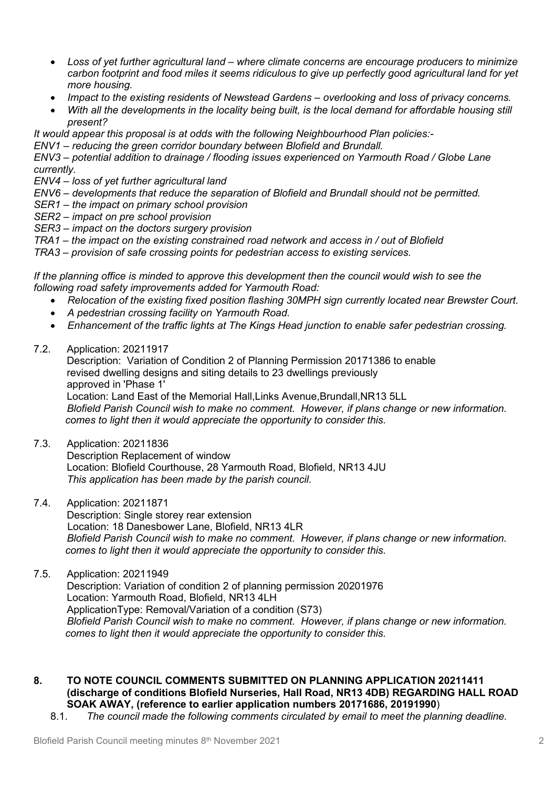- *Loss of yet further agricultural land – where climate concerns are encourage producers to minimize carbon footprint and food miles it seems ridiculous to give up perfectly good agricultural land for yet more housing.*
- *Impact to the existing residents of Newstead Gardens overlooking and loss of privacy concerns.*
- *With all the developments in the locality being built, is the local demand for affordable housing still present?*

*It would appear this proposal is at odds with the following Neighbourhood Plan policies:-*

*ENV1 – reducing the green corridor boundary between Blofield and Brundall.*

*ENV3 – potential addition to drainage / flooding issues experienced on Yarmouth Road / Globe Lane currently.*

*ENV4 – loss of yet further agricultural land*

*ENV6 – developments that reduce the separation of Blofield and Brundall should not be permitted.*

- *SER1 – the impact on primary school provision*
- *SER2 – impact on pre school provision*
- *SER3 – impact on the doctors surgery provision*
- *TRA1 – the impact on the existing constrained road network and access in / out of Blofield*

*TRA3 – provision of safe crossing points for pedestrian access to existing services.*

*If the planning office is minded to approve this development then the council would wish to see the following road safety improvements added for Yarmouth Road:*

- *Relocation of the existing fixed position flashing 30MPH sign currently located near Brewster Court.*
- *A pedestrian crossing facility on Yarmouth Road.*
- *Enhancement of the traffic lights at The Kings Head junction to enable safer pedestrian crossing.*

7.2. Application: 20211917

Description: Variation of Condition 2 of Planning Permission 20171386 to enable revised dwelling designs and siting details to 23 dwellings previously approved in 'Phase 1' Location: Land East of the Memorial Hall,Links Avenue,Brundall,NR13 5LL *Blofield Parish Council wish to make no comment. However, if plans change or new information. comes to light then it would appreciate the opportunity to consider this.* 

- 7.3. Application: 20211836 Description Replacement of window Location: Blofield Courthouse, 28 Yarmouth Road, Blofield, NR13 4JU *This application has been made by the parish council.*
- 7.4. Application: 20211871

Description: Single storey rear extension Location: 18 Danesbower Lane, Blofield, NR13 4LR *Blofield Parish Council wish to make no comment. However, if plans change or new information. comes to light then it would appreciate the opportunity to consider this.* 

- 7.5. Application: 20211949 Description: Variation of condition 2 of planning permission 20201976 Location: Yarmouth Road, Blofield, NR13 4LH ApplicationType: Removal/Variation of a condition (S73) *Blofield Parish Council wish to make no comment. However, if plans change or new information. comes to light then it would appreciate the opportunity to consider this.*
- **8. TO NOTE COUNCIL COMMENTS SUBMITTED ON PLANNING APPLICATION 20211411 (discharge of conditions Blofield Nurseries, Hall Road, NR13 4DB) REGARDING HALL ROAD SOAK AWAY, (reference to earlier application numbers 20171686, 20191990**)
	- 8.1. *The council made the following comments circulated by email to meet the planning deadline.*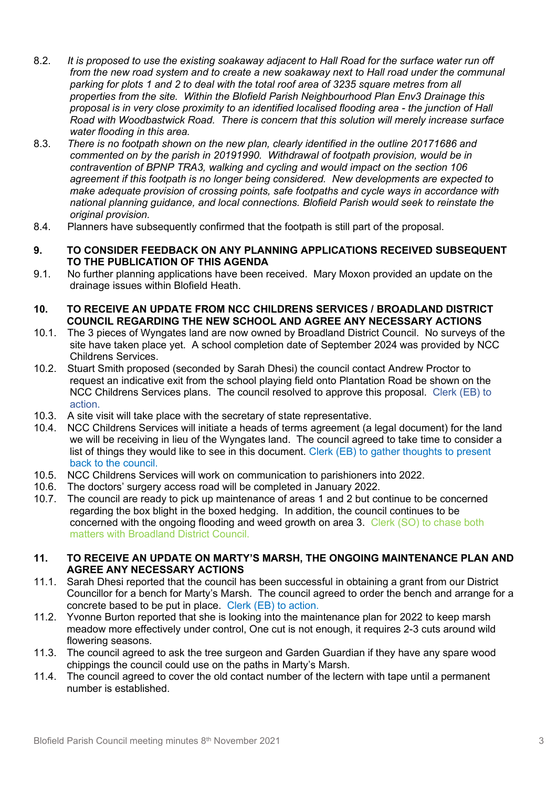- 8.2. *It is proposed to use the existing soakaway adjacent to Hall Road for the surface water run off from the new road system and to create a new soakaway next to Hall road under the communal parking for plots 1 and 2 to deal with the total roof area of 3235 square metres from all properties from the site. Within the Blofield Parish Neighbourhood Plan Env3 Drainage this proposal is in very close proximity to an identified localised flooding area - the junction of Hall Road with Woodbastwick Road. There is concern that this solution will merely increase surface water flooding in this area.*
- 8.3. *There is no footpath shown on the new plan, clearly identified in the outline 20171686 and commented on by the parish in 20191990. Withdrawal of footpath provision, would be in contravention of BPNP TRA3, walking and cycling and would impact on the section 106 agreement if this footpath is no longer being considered. New developments are expected to make adequate provision of crossing points, safe footpaths and cycle ways in accordance with national planning guidance, and local connections. Blofield Parish would seek to reinstate the original provision.*
- 8.4. Planners have subsequently confirmed that the footpath is still part of the proposal.

#### **9. TO CONSIDER FEEDBACK ON ANY PLANNING APPLICATIONS RECEIVED SUBSEQUENT TO THE PUBLICATION OF THIS AGENDA**

9.1. No further planning applications have been received. Mary Moxon provided an update on the drainage issues within Blofield Heath.

#### **10. TO RECEIVE AN UPDATE FROM NCC CHILDRENS SERVICES / BROADLAND DISTRICT COUNCIL REGARDING THE NEW SCHOOL AND AGREE ANY NECESSARY ACTIONS**

- 10.1. The 3 pieces of Wyngates land are now owned by Broadland District Council. No surveys of the site have taken place yet. A school completion date of September 2024 was provided by NCC Childrens Services.
- 10.2. Stuart Smith proposed (seconded by Sarah Dhesi) the council contact Andrew Proctor to request an indicative exit from the school playing field onto Plantation Road be shown on the NCC Childrens Services plans. The council resolved to approve this proposal. Clerk (EB) to action.
- 10.3. A site visit will take place with the secretary of state representative.
- 10.4. NCC Childrens Services will initiate a heads of terms agreement (a legal document) for the land we will be receiving in lieu of the Wyngates land. The council agreed to take time to consider a list of things they would like to see in this document. Clerk (EB) to gather thoughts to present back to the council.
- 10.5. NCC Childrens Services will work on communication to parishioners into 2022.
- 10.6. The doctors' surgery access road will be completed in January 2022.
- 10.7. The council are ready to pick up maintenance of areas 1 and 2 but continue to be concerned regarding the box blight in the boxed hedging. In addition, the council continues to be concerned with the ongoing flooding and weed growth on area 3. Clerk (SO) to chase both matters with Broadland District Council.

#### **11. TO RECEIVE AN UPDATE ON MARTY'S MARSH, THE ONGOING MAINTENANCE PLAN AND AGREE ANY NECESSARY ACTIONS**

- 11.1. Sarah Dhesi reported that the council has been successful in obtaining a grant from our District Councillor for a bench for Marty's Marsh. The council agreed to order the bench and arrange for a concrete based to be put in place. Clerk (EB) to action.
- 11.2. Yvonne Burton reported that she is looking into the maintenance plan for 2022 to keep marsh meadow more effectively under control, One cut is not enough, it requires 2-3 cuts around wild flowering seasons.
- 11.3. The council agreed to ask the tree surgeon and Garden Guardian if they have any spare wood chippings the council could use on the paths in Marty's Marsh.
- 11.4. The council agreed to cover the old contact number of the lectern with tape until a permanent number is established.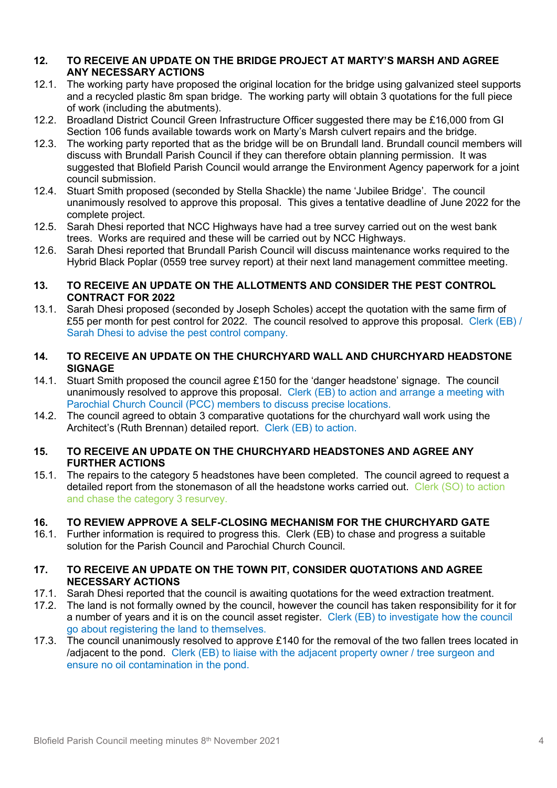## **12. TO RECEIVE AN UPDATE ON THE BRIDGE PROJECT AT MARTY'S MARSH AND AGREE ANY NECESSARY ACTIONS**

- 12.1. The working party have proposed the original location for the bridge using galvanized steel supports and a recycled plastic 8m span bridge. The working party will obtain 3 quotations for the full piece of work (including the abutments).
- 12.2. Broadland District Council Green Infrastructure Officer suggested there may be £16,000 from GI Section 106 funds available towards work on Marty's Marsh culvert repairs and the bridge.
- 12.3. The working party reported that as the bridge will be on Brundall land. Brundall council members will discuss with Brundall Parish Council if they can therefore obtain planning permission. It was suggested that Blofield Parish Council would arrange the Environment Agency paperwork for a joint council submission.
- 12.4. Stuart Smith proposed (seconded by Stella Shackle) the name 'Jubilee Bridge'. The council unanimously resolved to approve this proposal. This gives a tentative deadline of June 2022 for the complete project.
- 12.5. Sarah Dhesi reported that NCC Highways have had a tree survey carried out on the west bank trees. Works are required and these will be carried out by NCC Highways.
- 12.6. Sarah Dhesi reported that Brundall Parish Council will discuss maintenance works required to the Hybrid Black Poplar (0559 tree survey report) at their next land management committee meeting.

## **13. TO RECEIVE AN UPDATE ON THE ALLOTMENTS AND CONSIDER THE PEST CONTROL CONTRACT FOR 2022**

13.1. Sarah Dhesi proposed (seconded by Joseph Scholes) accept the quotation with the same firm of £55 per month for pest control for 2022. The council resolved to approve this proposal. Clerk (EB) / Sarah Dhesi to advise the pest control company.

## **14. TO RECEIVE AN UPDATE ON THE CHURCHYARD WALL AND CHURCHYARD HEADSTONE SIGNAGE**

- 14.1. Stuart Smith proposed the council agree £150 for the 'danger headstone' signage. The council unanimously resolved to approve this proposal. Clerk (EB) to action and arrange a meeting with Parochial Church Council (PCC) members to discuss precise locations.
- 14.2. The council agreed to obtain 3 comparative quotations for the churchyard wall work using the Architect's (Ruth Brennan) detailed report. Clerk (EB) to action.

## **15. TO RECEIVE AN UPDATE ON THE CHURCHYARD HEADSTONES AND AGREE ANY FURTHER ACTIONS**

15.1. The repairs to the category 5 headstones have been completed. The council agreed to request a detailed report from the stonemason of all the headstone works carried out. Clerk (SO) to action and chase the category 3 resurvey.

# **16. TO REVIEW APPROVE A SELF-CLOSING MECHANISM FOR THE CHURCHYARD GATE**

16.1. Further information is required to progress this. Clerk (EB) to chase and progress a suitable solution for the Parish Council and Parochial Church Council.

## **17. TO RECEIVE AN UPDATE ON THE TOWN PIT, CONSIDER QUOTATIONS AND AGREE NECESSARY ACTIONS**

- 17.1. Sarah Dhesi reported that the council is awaiting quotations for the weed extraction treatment.
- 17.2. The land is not formally owned by the council, however the council has taken responsibility for it for a number of years and it is on the council asset register. Clerk (EB) to investigate how the council go about registering the land to themselves.
- 17.3. The council unanimously resolved to approve £140 for the removal of the two fallen trees located in /adjacent to the pond. Clerk (EB) to liaise with the adjacent property owner / tree surgeon and ensure no oil contamination in the pond.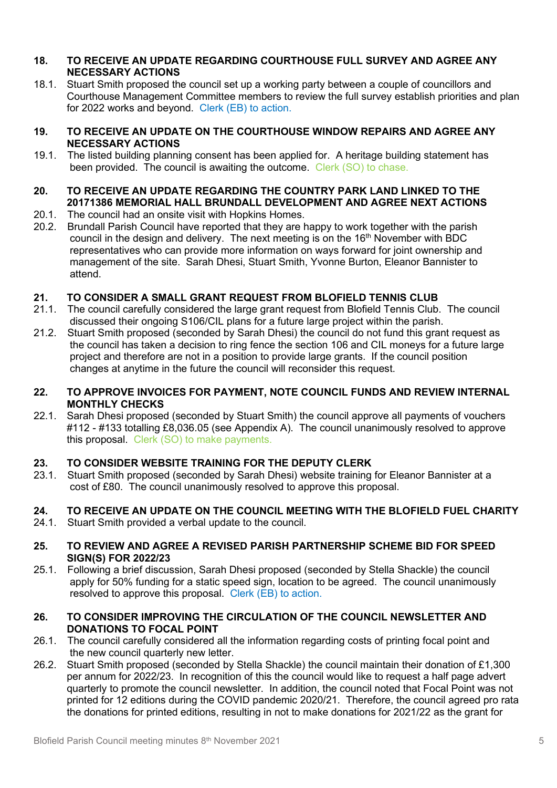## **18. TO RECEIVE AN UPDATE REGARDING COURTHOUSE FULL SURVEY AND AGREE ANY NECESSARY ACTIONS**

18.1. Stuart Smith proposed the council set up a working party between a couple of councillors and Courthouse Management Committee members to review the full survey establish priorities and plan for 2022 works and beyond. Clerk (EB) to action.

## **19. TO RECEIVE AN UPDATE ON THE COURTHOUSE WINDOW REPAIRS AND AGREE ANY NECESSARY ACTIONS**

19.1. The listed building planning consent has been applied for. A heritage building statement has been provided. The council is awaiting the outcome. Clerk (SO) to chase.

# **20. TO RECEIVE AN UPDATE REGARDING THE COUNTRY PARK LAND LINKED TO THE 20171386 MEMORIAL HALL BRUNDALL DEVELOPMENT AND AGREE NEXT ACTIONS**

- 20.1. The council had an onsite visit with Hopkins Homes.
- 20.2. Brundall Parish Council have reported that they are happy to work together with the parish council in the design and delivery. The next meeting is on the  $16<sup>th</sup>$  November with BDC representatives who can provide more information on ways forward for joint ownership and management of the site. Sarah Dhesi, Stuart Smith, Yvonne Burton, Eleanor Bannister to attend.

# **21. TO CONSIDER A SMALL GRANT REQUEST FROM BLOFIELD TENNIS CLUB**

- 21.1. The council carefully considered the large grant request from Blofield Tennis Club. The council discussed their ongoing S106/CIL plans for a future large project within the parish.
- 21.2. Stuart Smith proposed (seconded by Sarah Dhesi) the council do not fund this grant request as the council has taken a decision to ring fence the section 106 and CIL moneys for a future large project and therefore are not in a position to provide large grants. If the council position changes at anytime in the future the council will reconsider this request.

## **22. TO APPROVE INVOICES FOR PAYMENT, NOTE COUNCIL FUNDS AND REVIEW INTERNAL MONTHLY CHECKS**

22.1. Sarah Dhesi proposed (seconded by Stuart Smith) the council approve all payments of vouchers #112 - #133 totalling £8,036.05 (see Appendix A). The council unanimously resolved to approve this proposal. Clerk (SO) to make payments.

# **23. TO CONSIDER WEBSITE TRAINING FOR THE DEPUTY CLERK**

23.1. Stuart Smith proposed (seconded by Sarah Dhesi) website training for Eleanor Bannister at a cost of £80. The council unanimously resolved to approve this proposal.

# **24. TO RECEIVE AN UPDATE ON THE COUNCIL MEETING WITH THE BLOFIELD FUEL CHARITY**

- 24.1. Stuart Smith provided a verbal update to the council.
- **25. TO REVIEW AND AGREE A REVISED PARISH PARTNERSHIP SCHEME BID FOR SPEED SIGN(S) FOR 2022/23**
- 25.1. Following a brief discussion, Sarah Dhesi proposed (seconded by Stella Shackle) the council apply for 50% funding for a static speed sign, location to be agreed. The council unanimously resolved to approve this proposal. Clerk (EB) to action.

## **26. TO CONSIDER IMPROVING THE CIRCULATION OF THE COUNCIL NEWSLETTER AND DONATIONS TO FOCAL POINT**

- 26.1. The council carefully considered all the information regarding costs of printing focal point and the new council quarterly new letter.
- 26.2. Stuart Smith proposed (seconded by Stella Shackle) the council maintain their donation of £1,300 per annum for 2022/23. In recognition of this the council would like to request a half page advert quarterly to promote the council newsletter. In addition, the council noted that Focal Point was not printed for 12 editions during the COVID pandemic 2020/21. Therefore, the council agreed pro rata the donations for printed editions, resulting in not to make donations for 2021/22 as the grant for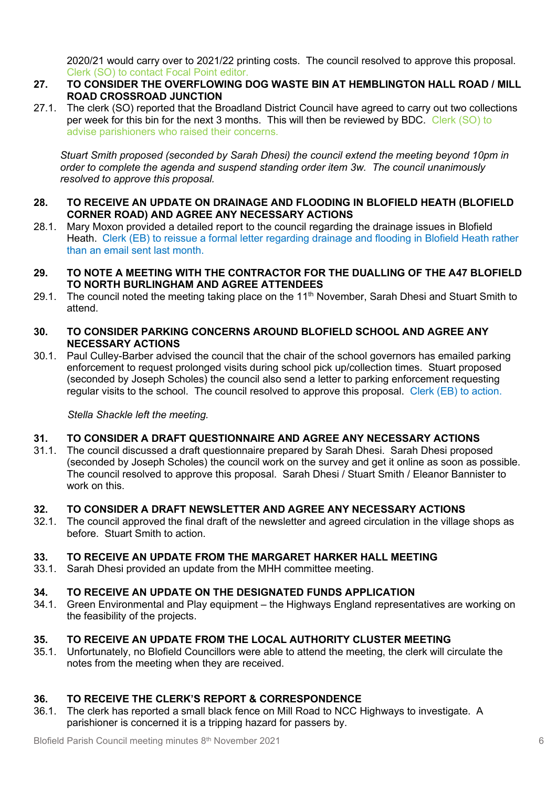2020/21 would carry over to 2021/22 printing costs. The council resolved to approve this proposal. Clerk (SO) to contact Focal Point editor.

- **27. TO CONSIDER THE OVERFLOWING DOG WASTE BIN AT HEMBLINGTON HALL ROAD / MILL ROAD CROSSROAD JUNCTION**
- 27.1. The clerk (SO) reported that the Broadland District Council have agreed to carry out two collections per week for this bin for the next 3 months. This will then be reviewed by BDC. Clerk (SO) to advise parishioners who raised their concerns.

*Stuart Smith proposed (seconded by Sarah Dhesi) the council extend the meeting beyond 10pm in order to complete the agenda and suspend standing order item 3w. The council unanimously resolved to approve this proposal.*

## **28. TO RECEIVE AN UPDATE ON DRAINAGE AND FLOODING IN BLOFIELD HEATH (BLOFIELD CORNER ROAD) AND AGREE ANY NECESSARY ACTIONS**

- 28.1. Mary Moxon provided a detailed report to the council regarding the drainage issues in Blofield Heath. Clerk (EB) to reissue a formal letter regarding drainage and flooding in Blofield Heath rather than an email sent last month.
- **29. TO NOTE A MEETING WITH THE CONTRACTOR FOR THE DUALLING OF THE A47 BLOFIELD TO NORTH BURLINGHAM AND AGREE ATTENDEES**
- 29.1. The council noted the meeting taking place on the 11<sup>th</sup> November, Sarah Dhesi and Stuart Smith to attend.

## **30. TO CONSIDER PARKING CONCERNS AROUND BLOFIELD SCHOOL AND AGREE ANY NECESSARY ACTIONS**

30.1. Paul Culley-Barber advised the council that the chair of the school governors has emailed parking enforcement to request prolonged visits during school pick up/collection times. Stuart proposed (seconded by Joseph Scholes) the council also send a letter to parking enforcement requesting regular visits to the school. The council resolved to approve this proposal. Clerk (EB) to action.

*Stella Shackle left the meeting.*

## **31. TO CONSIDER A DRAFT QUESTIONNAIRE AND AGREE ANY NECESSARY ACTIONS**

31.1. The council discussed a draft questionnaire prepared by Sarah Dhesi. Sarah Dhesi proposed (seconded by Joseph Scholes) the council work on the survey and get it online as soon as possible. The council resolved to approve this proposal. Sarah Dhesi / Stuart Smith / Eleanor Bannister to work on this.

## **32. TO CONSIDER A DRAFT NEWSLETTER AND AGREE ANY NECESSARY ACTIONS**

32.1. The council approved the final draft of the newsletter and agreed circulation in the village shops as before. Stuart Smith to action.

## **33. TO RECEIVE AN UPDATE FROM THE MARGARET HARKER HALL MEETING**

33.1. Sarah Dhesi provided an update from the MHH committee meeting.

## **34. TO RECEIVE AN UPDATE ON THE DESIGNATED FUNDS APPLICATION**

34.1. Green Environmental and Play equipment – the Highways England representatives are working on the feasibility of the projects.

# **35. TO RECEIVE AN UPDATE FROM THE LOCAL AUTHORITY CLUSTER MEETING**

35.1. Unfortunately, no Blofield Councillors were able to attend the meeting, the clerk will circulate the notes from the meeting when they are received.

# **36. TO RECEIVE THE CLERK'S REPORT & CORRESPONDENCE**

36.1. The clerk has reported a small black fence on Mill Road to NCC Highways to investigate. A parishioner is concerned it is a tripping hazard for passers by.